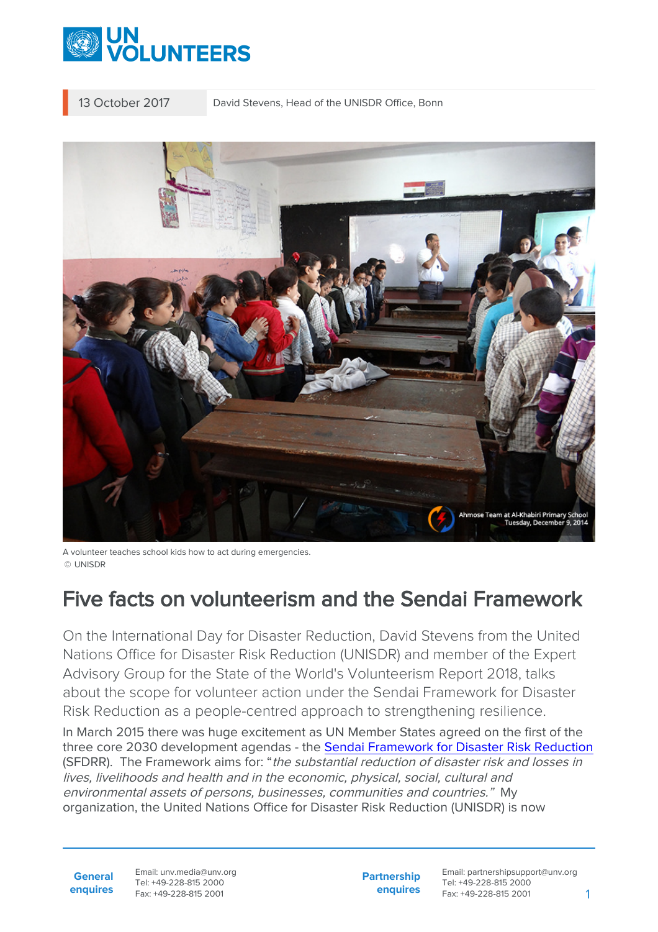

13 October 2017 David Stevens, Head of the UNISDR Office, Bonn



A volunteer teaches school kids how to act during emergencies. © UNISDR

# Five facts on volunteerism and the Sendai Framework

On the International Day for Disaster Reduction, David Stevens from the United Nations Office for Disaster Risk Reduction (UNISDR) and member of the Expert Advisory Group for the State of the World's Volunteerism Report 2018, talks about the scope for volunteer action under the Sendai Framework for Disaster Risk Reduction as a people-centred approach to strengthening resilience.

In March 2015 there was huge excitement as UN Member States agreed on the first of the three core 2030 development agendas - the [Sendai Framework for Disaster Risk Reduction](https://www.unisdr.org/we/coordinate/sendai-framework) (SFDRR). The Framework aims for: "the substantial reduction of disaster risk and losses in lives, livelihoods and health and in the economic, physical, social, cultural and environmental assets of persons, businesses, communities and countries." My organization, the United Nations Office for Disaster Risk Reduction (UNISDR) is now

**General enquires** Email: unv.media@unv.org Tel: +49-228-815 2000 Fax: +49-228-815 2001

**Partnership enquires** Email: partnershipsupport@unv.org Tel: +49-228-815 2000 Fax: +49-228-815 2001 1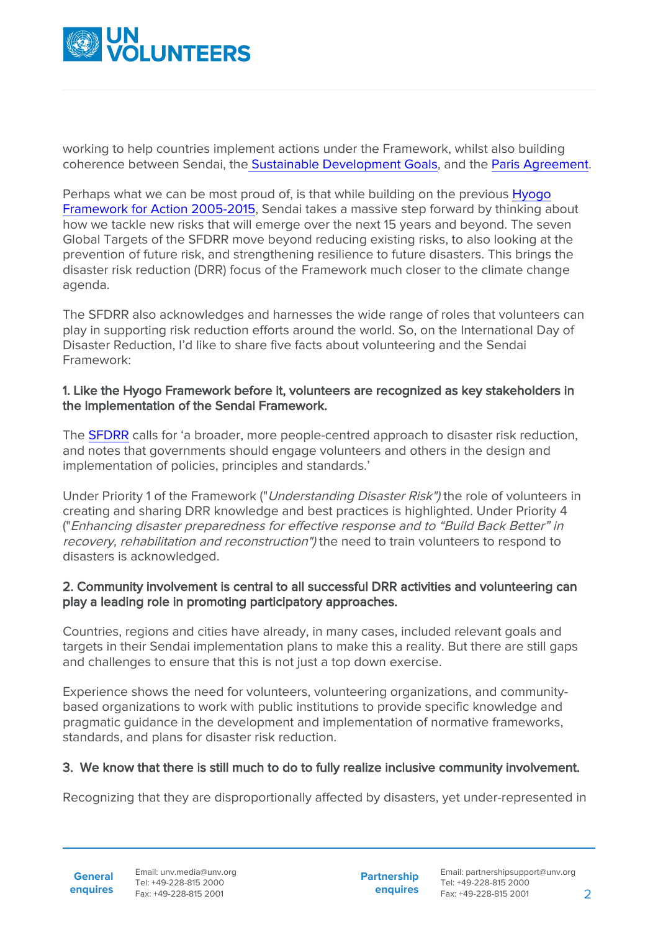

working to help countries implement actions under the Framework, whilst also building coherence between Sendai, th[e Sustainable Development Goals,](http://www.un.org/sustainabledevelopment/sustainable-development-goals/) and the [Paris Agreement](https://unfccc.int/paris_agreement/items/9485.php).

Perhaps what we can be most proud of, is that while building on the previous [Hyogo](https://www.unisdr.org/we/coordinate/hfa) [Framework for Action 2005-2015](https://www.unisdr.org/we/coordinate/hfa), Sendai takes a massive step forward by thinking about how we tackle new risks that will emerge over the next 15 years and beyond. The seven Global Targets of the SFDRR move beyond reducing existing risks, to also looking at the prevention of future risk, and strengthening resilience to future disasters. This brings the disaster risk reduction (DRR) focus of the Framework much closer to the climate change agenda.

The SFDRR also acknowledges and harnesses the wide range of roles that volunteers can play in supporting risk reduction efforts around the world. So, on the International Day of Disaster Reduction, I'd like to share five facts about volunteering and the Sendai Framework:

#### 1. Like the Hyogo Framework before it, volunteers are recognized as key stakeholders in the implementation of the Sendai Framework.

The [SFDRR](https://www.unisdr.org/we/inform/publications/43291) calls for 'a broader, more people-centred approach to disaster risk reduction, and notes that governments should engage volunteers and others in the design and implementation of policies, principles and standards.'

Under Priority 1 of the Framework ("Understanding Disaster Risk") the role of volunteers in creating and sharing DRR knowledge and best practices is highlighted. Under Priority 4 ("Enhancing disaster preparedness for effective response and to "Build Back Better" in recovery, rehabilitation and reconstruction") the need to train volunteers to respond to disasters is acknowledged.

## 2. Community involvement is central to all successful DRR activities and volunteering can play a leading role in promoting participatory approaches.

Countries, regions and cities have already, in many cases, included relevant goals and targets in their Sendai implementation plans to make this a reality. But there are still gaps and challenges to ensure that this is not just a top down exercise.

Experience shows the need for volunteers, volunteering organizations, and communitybased organizations to work with public institutions to provide specific knowledge and pragmatic guidance in the development and implementation of normative frameworks, standards, and plans for disaster risk reduction.

## 3. We know that there is still much to do to fully realize inclusive community involvement.

Recognizing that they are disproportionally affected by disasters, yet under-represented in

**General**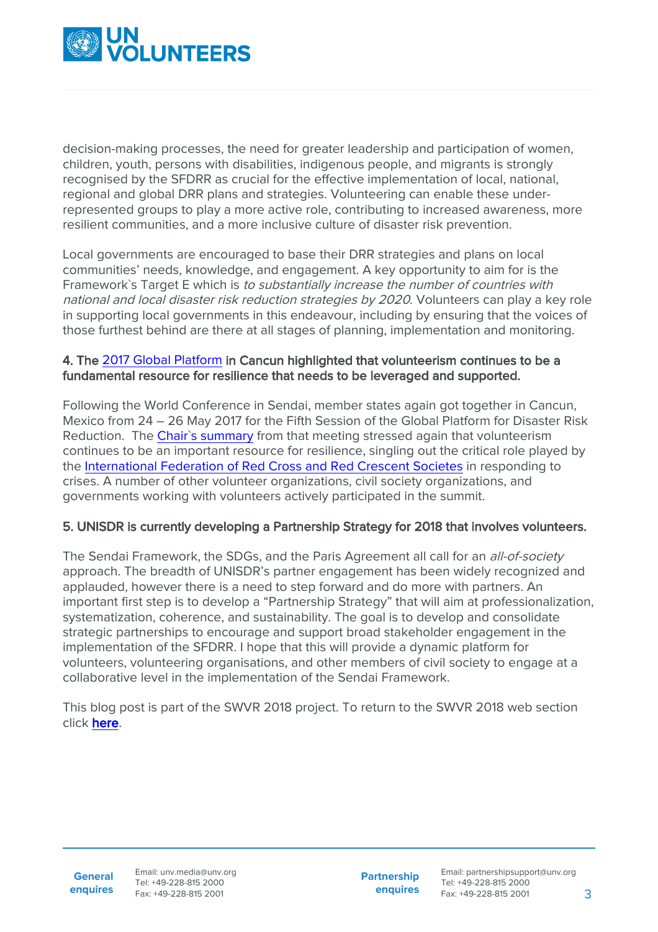

decision-making processes, the need for greater leadership and participation of women, children, youth, persons with disabilities, indigenous people, and migrants is strongly recognised by the SFDRR as crucial for the effective implementation of local, national, regional and global DRR plans and strategies. Volunteering can enable these underrepresented groups to play a more active role, contributing to increased awareness, more resilient communities, and a more inclusive culture of disaster risk prevention.

Local governments are encouraged to base their DRR strategies and plans on local communities' needs, knowledge, and engagement. A key opportunity to aim for is the Framework`s Target E which is to substantially increase the number of countries with national and local disaster risk reduction strategies by 2020. Volunteers can play a key role in supporting local governments in this endeavour, including by ensuring that the voices of those furthest behind are there at all stages of planning, implementation and monitoring.

#### 4. The [2017 Global Platform](https://www.unisdr.org/conferences/2017/globalplatform/en) in Cancun highlighted that volunteerism continues to be a fundamental resource for resilience that needs to be leveraged and supported.

Following the World Conference in Sendai, member states again got together in Cancun, Mexico from 24 – 26 May 2017 for the Fifth Session of the Global Platform for Disaster Risk Reduction. The [Chair`s summary](https://www.preventionweb.net/publications/view/53989) from that meeting stressed again that volunteerism continues to be an important resource for resilience, singling out the critical role played by the [International Federation of Red Cross and Red Crescent Societes](https://www.ifrc.org/) in responding to crises. A number of other volunteer organizations, civil society organizations, and governments working with volunteers actively participated in the summit.

## 5. UNISDR is currently developing a Partnership Strategy for 2018 that involves volunteers.

The Sendai Framework, the SDGs, and the Paris Agreement all call for an all-of-society approach. The breadth of UNISDR's partner engagement has been widely recognized and applauded, however there is a need to step forward and do more with partners. An important first step is to develop a "Partnership Strategy" that will aim at professionalization, systematization, coherence, and sustainability. The goal is to develop and consolidate strategic partnerships to encourage and support broad stakeholder engagement in the implementation of the SFDRR. I hope that this will provide a dynamic platform for volunteers, volunteering organisations, and other members of civil society to engage at a collaborative level in the implementation of the Sendai Framework.

This blog post is part of the SWVR 2018 project. To return to the SWVR 2018 web section click [here.](https://www.unv.org/swvr/resilientcommunities)

Email: unv.media@unv.org Tel: +49-228-815 2000 Fax: +49-228-815 2001

**Partnership enquires** Email: partnershipsupport@unv.org Tel: +49-228-815 2000 Fax: +49-228-815 2001 3